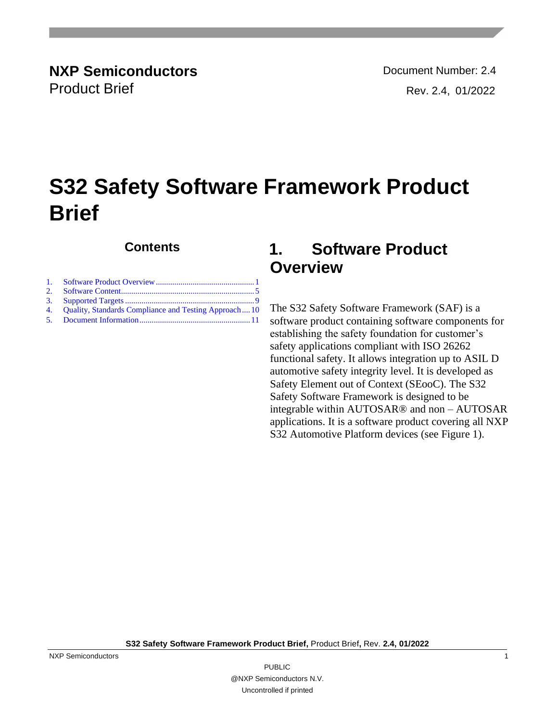**NXP Semiconductors Document Number: 2.4** Product Brief Rev. 2.4, 01/2022

# **S32 Safety Software Framework Product Brief**

## **Contents**

| 4. Quality, Standards Compliance and Testing Approach10 |  |
|---------------------------------------------------------|--|
|                                                         |  |

## <span id="page-0-0"></span>**1. Software Product Overview**

The S32 Safety Software Framework (SAF) is a software product containing software components for establishing the safety foundation for customer's safety applications compliant with ISO 26262 functional safety. It allows integration up to ASIL D automotive safety integrity level. It is developed as Safety Element out of Context (SEooC). The S32 Safety Software Framework is designed to be integrable within AUTOSAR® and non – AUTOSAR applications. It is a software product covering all NXP S32 Automotive Platform devices (see Figure 1).

**S32 Safety Software Framework Product Brief,** Product Brief**,** Rev. **2.4, 01/2022**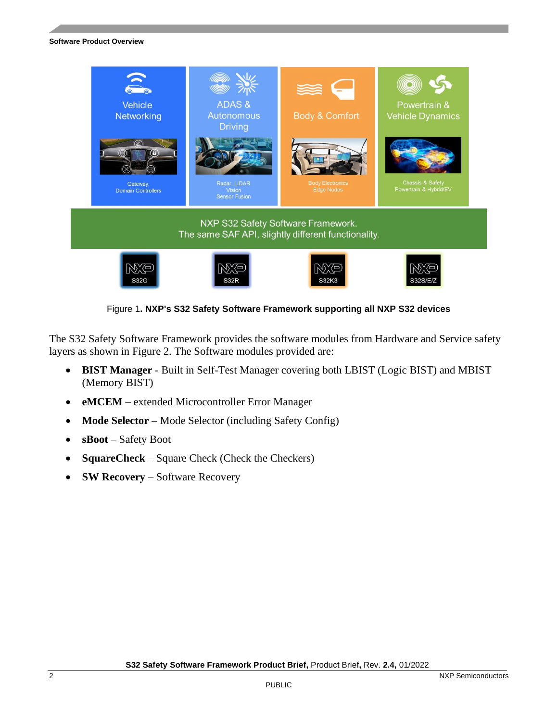

Figure 1**. NXP's S32 Safety Software Framework supporting all NXP S32 devices**

The S32 Safety Software Framework provides the software modules from Hardware and Service safety layers as shown in Figure 2. The Software modules provided are:

- **BIST Manager** Built in Self-Test Manager covering both LBIST (Logic BIST) and MBIST (Memory BIST)
- **eMCEM** extended Microcontroller Error Manager
- **Mode Selector** Mode Selector (including Safety Config)
- **sBoot** Safety Boot
- **SquareCheck** Square Check (Check the Checkers)
- **SW Recovery** Software Recovery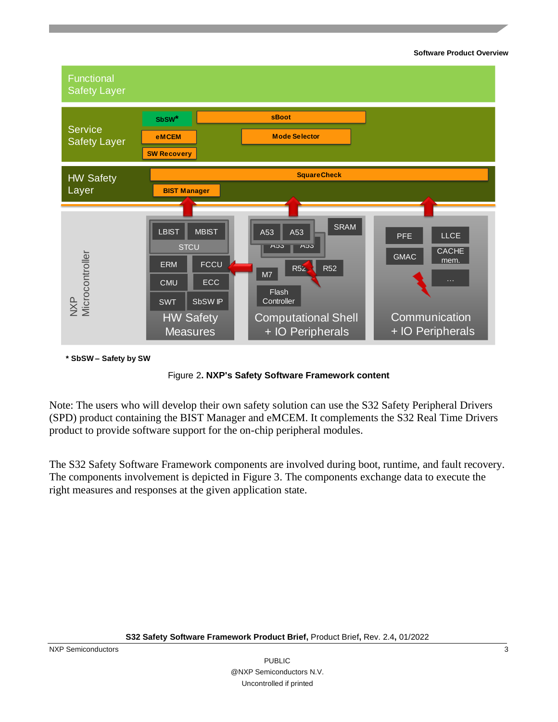#### **Software Product Overview**



**\* SbSW – Safety by SW**



Note: The users who will develop their own safety solution can use the S32 Safety Peripheral Drivers (SPD) product containing the BIST Manager and eMCEM. It complements the S32 Real Time Drivers product to provide software support for the on-chip peripheral modules.

The S32 Safety Software Framework components are involved during boot, runtime, and fault recovery. The components involvement is depicted in Figure 3. The components exchange data to execute the right measures and responses at the given application state.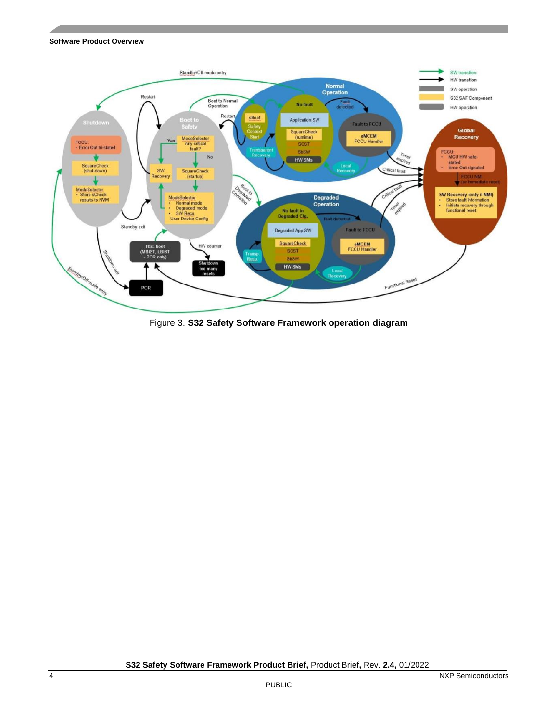#### **Software Product Overview**



Figure 3. **S32 Safety Software Framework operation diagram**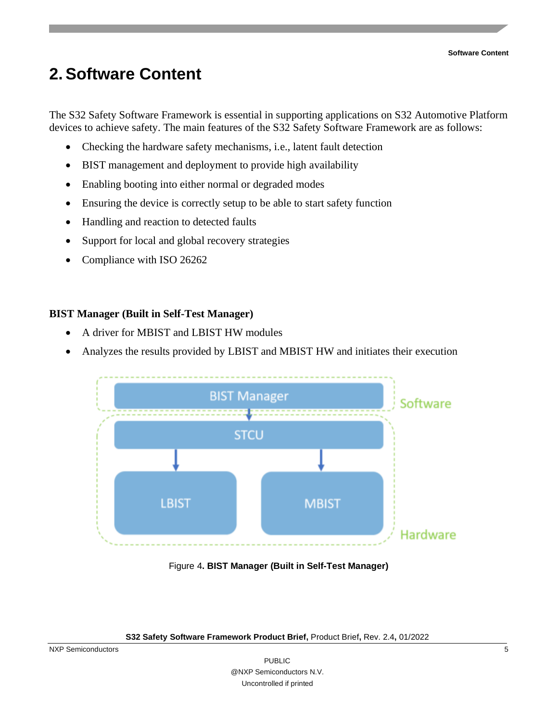## <span id="page-4-0"></span>**2.Software Content**

The S32 Safety Software Framework is essential in supporting applications on S32 Automotive Platform devices to achieve safety. The main features of the S32 Safety Software Framework are as follows:

- Checking the hardware safety mechanisms, i.e., latent fault detection
- BIST management and deployment to provide high availability
- Enabling booting into either normal or degraded modes
- Ensuring the device is correctly setup to be able to start safety function
- Handling and reaction to detected faults
- Support for local and global recovery strategies
- Compliance with ISO 26262

## **BIST Manager (Built in Self-Test Manager)**

- A driver for MBIST and LBIST HW modules
- Analyzes the results provided by LBIST and MBIST HW and initiates their execution



Figure 4**. BIST Manager (Built in Self-Test Manager)**

**S32 Safety Software Framework Product Brief,** Product Brief**,** Rev. 2.4**,** 01/2022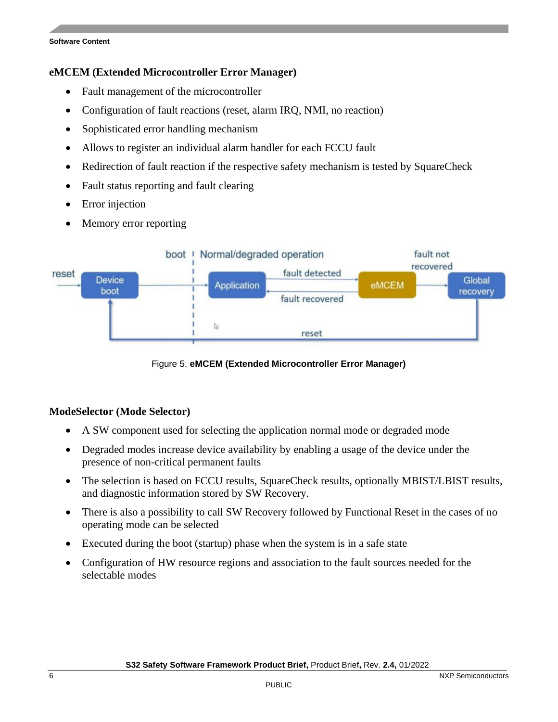#### **Software Content**

### **eMCEM (Extended Microcontroller Error Manager)**

- Fault management of the microcontroller
- Configuration of fault reactions (reset, alarm IRQ, NMI, no reaction)
- Sophisticated error handling mechanism
- Allows to register an individual alarm handler for each FCCU fault
- Redirection of fault reaction if the respective safety mechanism is tested by SquareCheck
- Fault status reporting and fault clearing
- **Error** injection
- Memory error reporting



### Figure 5. **eMCEM (Extended Microcontroller Error Manager)**

## **ModeSelector (Mode Selector)**

- A SW component used for selecting the application normal mode or degraded mode
- Degraded modes increase device availability by enabling a usage of the device under the presence of non-critical permanent faults
- The selection is based on FCCU results, SquareCheck results, optionally MBIST/LBIST results, and diagnostic information stored by SW Recovery.
- There is also a possibility to call SW Recovery followed by Functional Reset in the cases of no operating mode can be selected
- Executed during the boot (startup) phase when the system is in a safe state
- Configuration of HW resource regions and association to the fault sources needed for the selectable modes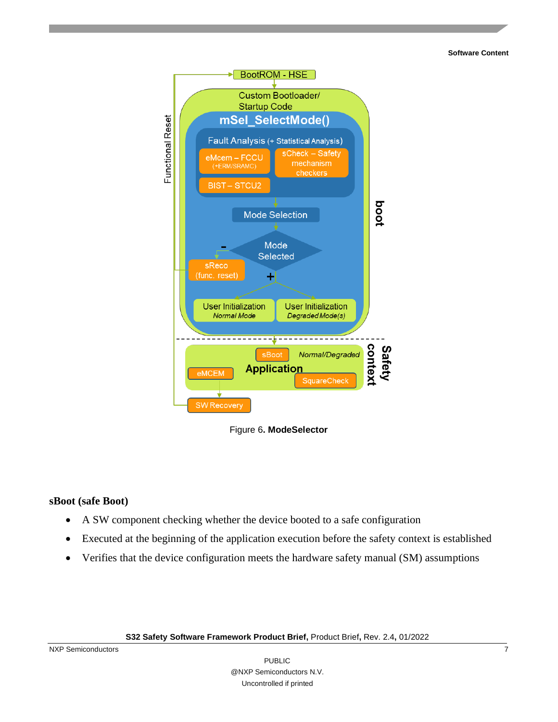#### **Software Content**



Figure 6**. ModeSelector**

### **sBoot (safe Boot)**

- A SW component checking whether the device booted to a safe configuration
- Executed at the beginning of the application execution before the safety context is established
- Verifies that the device configuration meets the hardware safety manual (SM) assumptions

**S32 Safety Software Framework Product Brief,** Product Brief**,** Rev. 2.4**,** 01/2022

NXP Semiconductors 7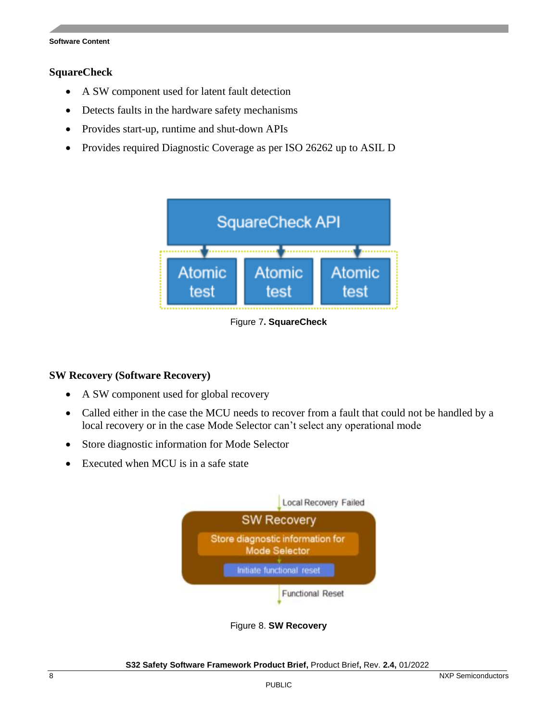#### **Software Content**

#### **SquareCheck**

- A SW component used for latent fault detection
- Detects faults in the hardware safety mechanisms
- Provides start-up, runtime and shut-down APIs
- Provides required Diagnostic Coverage as per ISO 26262 up to ASIL D



Figure 7**. SquareCheck**

## **SW Recovery (Software Recovery)**

- A SW component used for global recovery
- Called either in the case the MCU needs to recover from a fault that could not be handled by a local recovery or in the case Mode Selector can't select any operational mode
- Store diagnostic information for Mode Selector
- Executed when MCU is in a safe state



Figure 8. **SW Recovery**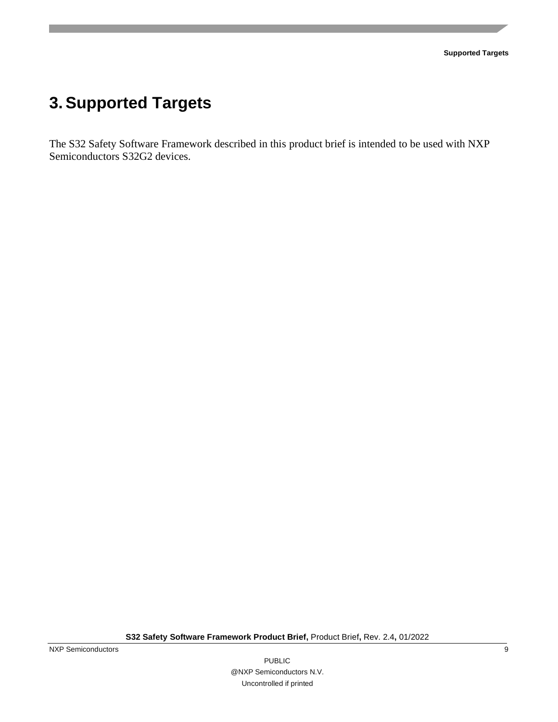## <span id="page-8-0"></span>**3.Supported Targets**

The S32 Safety Software Framework described in this product brief is intended to be used with NXP Semiconductors S32G2 devices.

**S32 Safety Software Framework Product Brief,** Product Brief**,** Rev. 2.4**,** 01/2022

NXP Semiconductors 9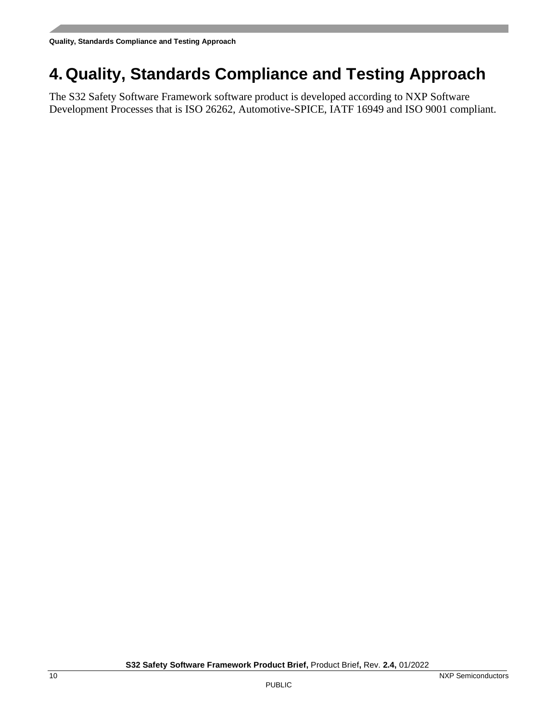## <span id="page-9-0"></span>**4. Quality, Standards Compliance and Testing Approach**

The S32 Safety Software Framework software product is developed according to NXP Software Development Processes that is ISO 26262, Automotive-SPICE, IATF 16949 and ISO 9001 compliant.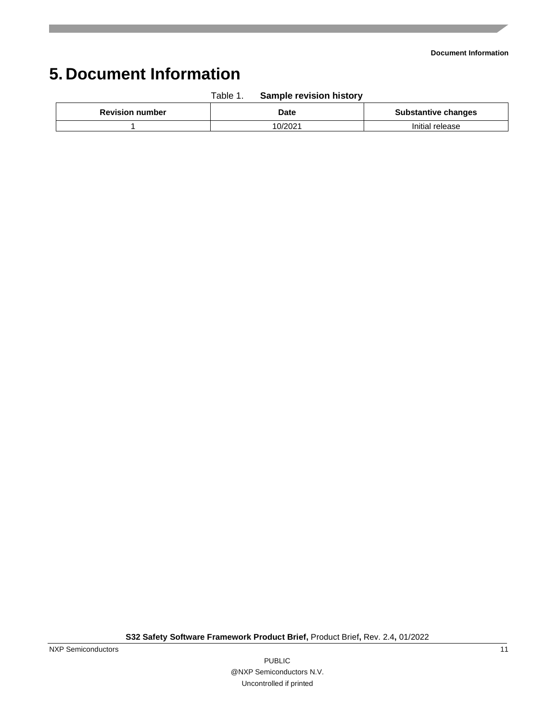# <span id="page-10-0"></span>**5. Document Information**

| <b>Revision number</b> | Date    | <b>Substantive changes</b> |
|------------------------|---------|----------------------------|
|                        | 10/202' | Initial release            |

Table 1. **Sample revision history**

**S32 Safety Software Framework Product Brief,** Product Brief**,** Rev. 2.4**,** 01/2022